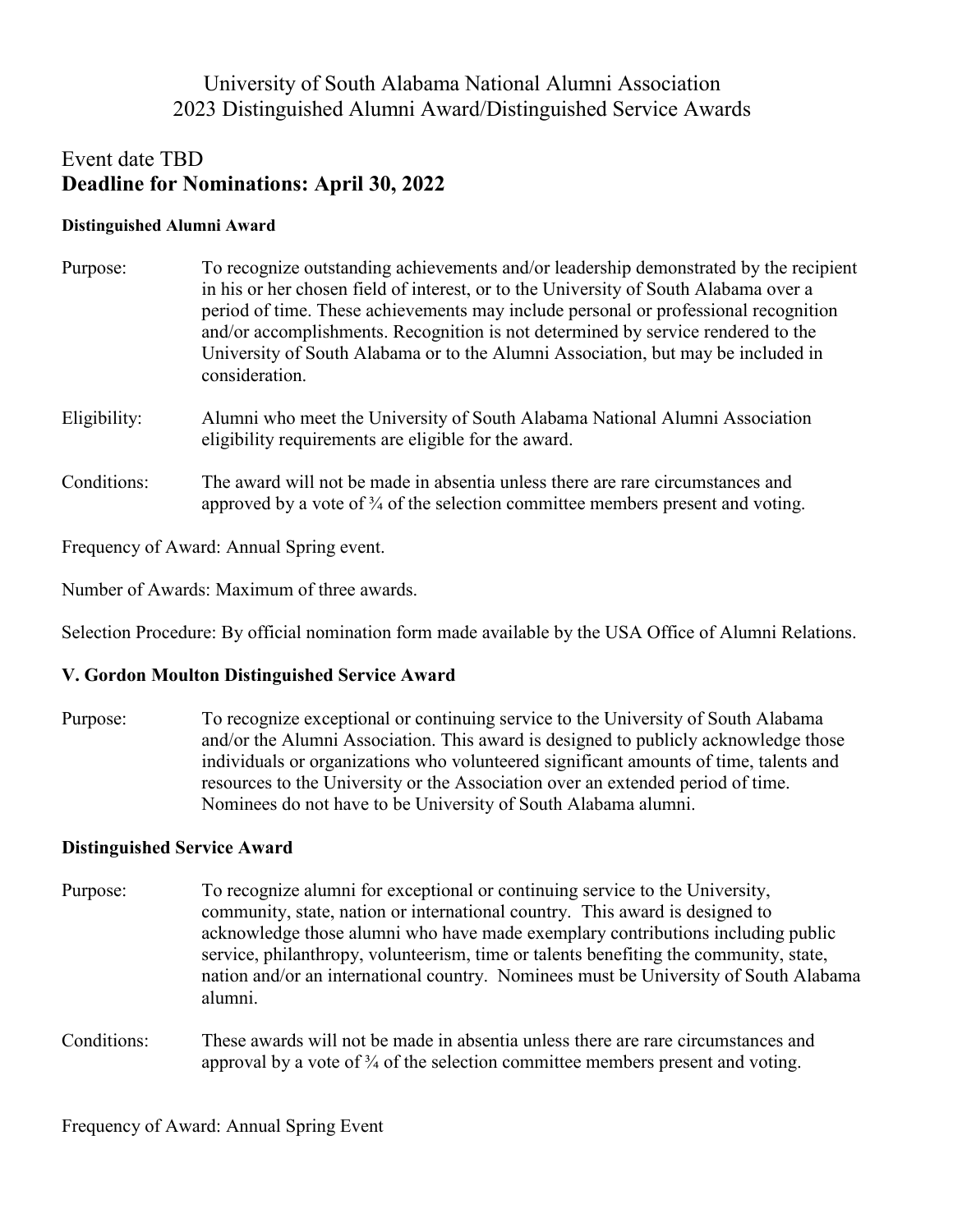## University of South Alabama National Alumni Association 2023 Distinguished Alumni Award/Distinguished Service Awards

# Event date TBD **Deadline for Nominations: April 30, 2022**

### **Distinguished Alumni Award**

| Purpose:     | To recognize outstanding achievements and/or leadership demonstrated by the recipient<br>in his or her chosen field of interest, or to the University of South Alabama over a<br>period of time. These achievements may include personal or professional recognition<br>and/or accomplishments. Recognition is not determined by service rendered to the<br>University of South Alabama or to the Alumni Association, but may be included in<br>consideration. |
|--------------|----------------------------------------------------------------------------------------------------------------------------------------------------------------------------------------------------------------------------------------------------------------------------------------------------------------------------------------------------------------------------------------------------------------------------------------------------------------|
| Eligibility: | Alumni who meet the University of South Alabama National Alumni Association<br>eligibility requirements are eligible for the award.                                                                                                                                                                                                                                                                                                                            |
| Conditions:  | The award will not be made in absentia unless there are rare circumstances and<br>approved by a vote of $\frac{3}{4}$ of the selection committee members present and voting.                                                                                                                                                                                                                                                                                   |
|              |                                                                                                                                                                                                                                                                                                                                                                                                                                                                |

Frequency of Award: Annual Spring event.

Number of Awards: Maximum of three awards.

Selection Procedure: By official nomination form made available by the USA Office of Alumni Relations.

## **V. Gordon Moulton Distinguished Service Award**

Purpose: To recognize exceptional or continuing service to the University of South Alabama and/or the Alumni Association. This award is designed to publicly acknowledge those individuals or organizations who volunteered significant amounts of time, talents and resources to the University or the Association over an extended period of time. Nominees do not have to be University of South Alabama alumni.

## **Distinguished Service Award**

- Purpose: To recognize alumni for exceptional or continuing service to the University, community, state, nation or international country. This award is designed to acknowledge those alumni who have made exemplary contributions including public service, philanthropy, volunteerism, time or talents benefiting the community, state, nation and/or an international country. Nominees must be University of South Alabama alumni.
- Conditions: These awards will not be made in absentia unless there are rare circumstances and approval by a vote of  $\frac{3}{4}$  of the selection committee members present and voting.

Frequency of Award: Annual Spring Event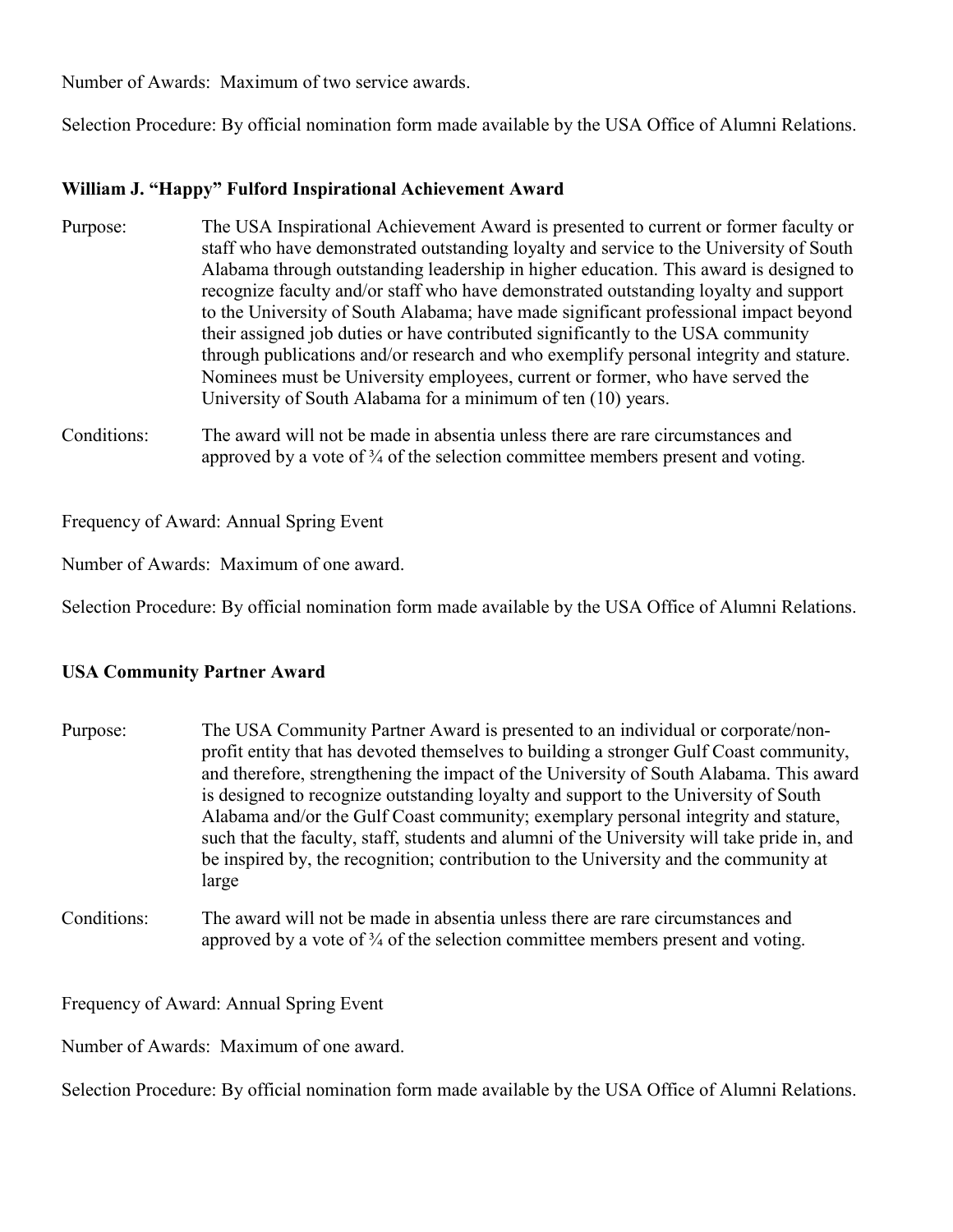Number of Awards: Maximum of two service awards.

Selection Procedure: By official nomination form made available by the USA Office of Alumni Relations.

## **William J. "Happy" Fulford Inspirational Achievement Award**

- Purpose: The USA Inspirational Achievement Award is presented to current or former faculty or staff who have demonstrated outstanding loyalty and service to the University of South Alabama through outstanding leadership in higher education. This award is designed to recognize faculty and/or staff who have demonstrated outstanding loyalty and support to the University of South Alabama; have made significant professional impact beyond their assigned job duties or have contributed significantly to the USA community through publications and/or research and who exemplify personal integrity and stature. Nominees must be University employees, current or former, who have served the University of South Alabama for a minimum of ten (10) years.
- Conditions: The award will not be made in absentia unless there are rare circumstances and approved by a vote of  $\frac{3}{4}$  of the selection committee members present and voting.

Frequency of Award: Annual Spring Event

Number of Awards: Maximum of one award.

Selection Procedure: By official nomination form made available by the USA Office of Alumni Relations.

### **USA Community Partner Award**

- Purpose: The USA Community Partner Award is presented to an individual or corporate/nonprofit entity that has devoted themselves to building a stronger Gulf Coast community, and therefore, strengthening the impact of the University of South Alabama. This award is designed to recognize outstanding loyalty and support to the University of South Alabama and/or the Gulf Coast community; exemplary personal integrity and stature, such that the faculty, staff, students and alumni of the University will take pride in, and be inspired by, the recognition; contribution to the University and the community at large
- Conditions: The award will not be made in absentia unless there are rare circumstances and approved by a vote of  $\frac{3}{4}$  of the selection committee members present and voting.

Frequency of Award: Annual Spring Event

Number of Awards: Maximum of one award.

Selection Procedure: By official nomination form made available by the USA Office of Alumni Relations.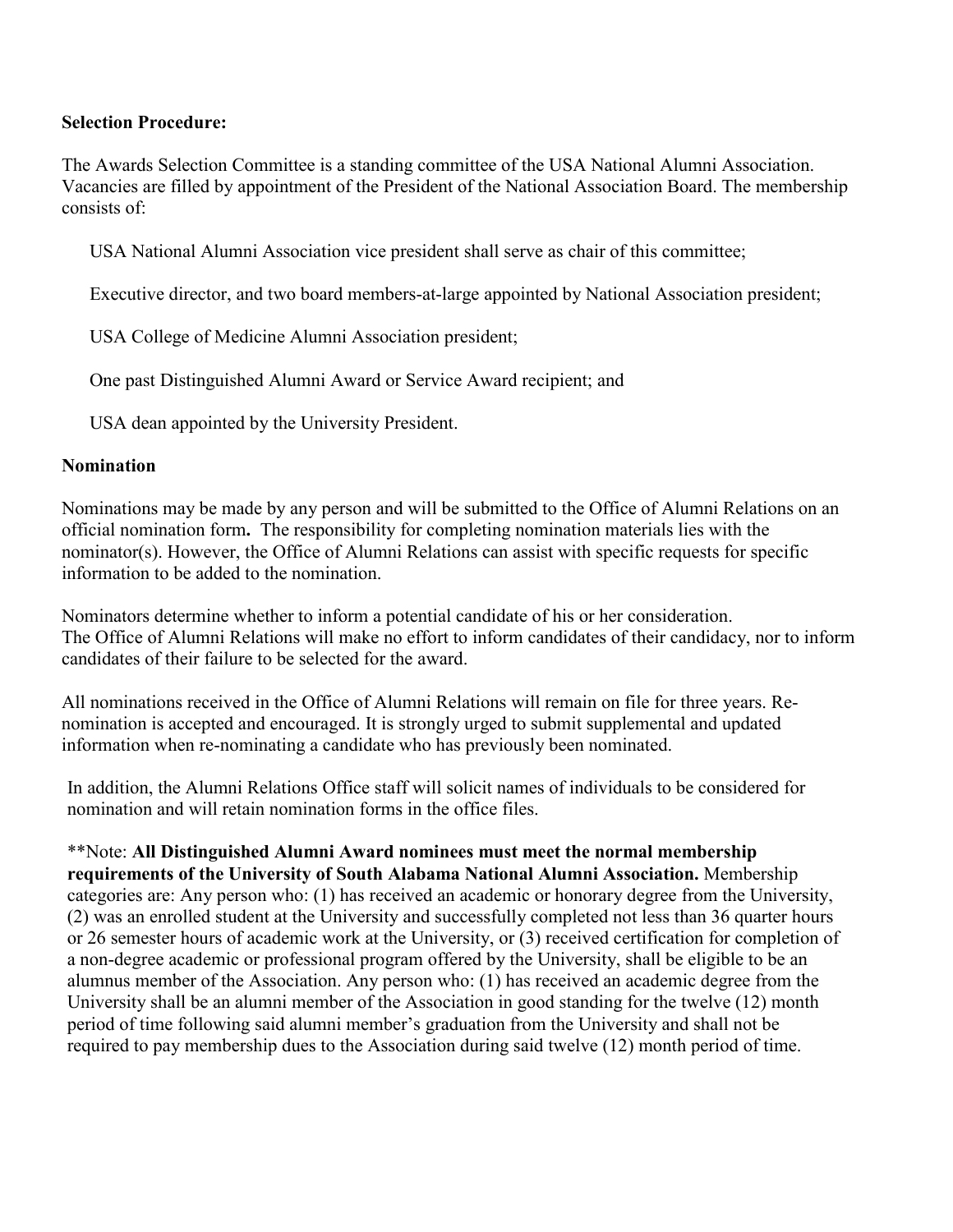## **Selection Procedure:**

The Awards Selection Committee is a standing committee of the USA National Alumni Association. Vacancies are filled by appointment of the President of the National Association Board. The membership consists of:

USA National Alumni Association vice president shall serve as chair of this committee;

Executive director, and two board members-at-large appointed by National Association president;

USA College of Medicine Alumni Association president;

One past Distinguished Alumni Award or Service Award recipient; and

USA dean appointed by the University President.

## **Nomination**

Nominations may be made by any person and will be submitted to the Office of Alumni Relations on an official nomination form**.** The responsibility for completing nomination materials lies with the nominator(s). However, the Office of Alumni Relations can assist with specific requests for specific information to be added to the nomination.

Nominators determine whether to inform a potential candidate of his or her consideration. The Office of Alumni Relations will make no effort to inform candidates of their candidacy, nor to inform candidates of their failure to be selected for the award.

All nominations received in the Office of Alumni Relations will remain on file for three years. Renomination is accepted and encouraged. It is strongly urged to submit supplemental and updated information when re-nominating a candidate who has previously been nominated.

In addition, the Alumni Relations Office staff will solicit names of individuals to be considered for nomination and will retain nomination forms in the office files.

\*\*Note: **All Distinguished Alumni Award nominees must meet the normal membership requirements of the University of South Alabama National Alumni Association.** Membership categories are: Any person who: (1) has received an academic or honorary degree from the University, (2) was an enrolled student at the University and successfully completed not less than 36 quarter hours or 26 semester hours of academic work at the University, or (3) received certification for completion of a non-degree academic or professional program offered by the University, shall be eligible to be an alumnus member of the Association. Any person who: (1) has received an academic degree from the University shall be an alumni member of the Association in good standing for the twelve (12) month period of time following said alumni member's graduation from the University and shall not be required to pay membership dues to the Association during said twelve (12) month period of time.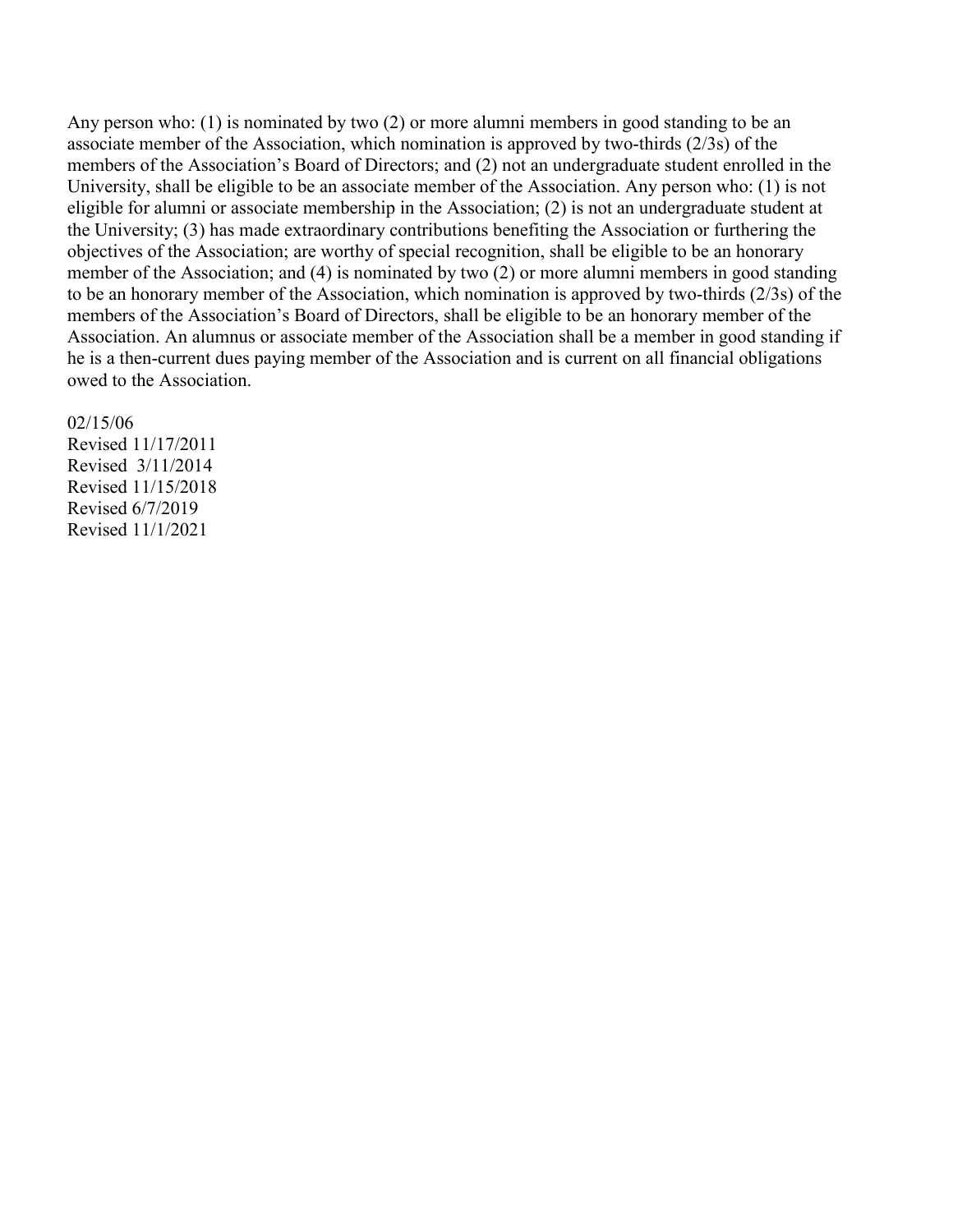Any person who: (1) is nominated by two (2) or more alumni members in good standing to be an associate member of the Association, which nomination is approved by two-thirds (2/3s) of the members of the Association's Board of Directors; and (2) not an undergraduate student enrolled in the University, shall be eligible to be an associate member of the Association. Any person who: (1) is not eligible for alumni or associate membership in the Association; (2) is not an undergraduate student at the University; (3) has made extraordinary contributions benefiting the Association or furthering the objectives of the Association; are worthy of special recognition, shall be eligible to be an honorary member of the Association; and (4) is nominated by two (2) or more alumni members in good standing to be an honorary member of the Association, which nomination is approved by two-thirds (2/3s) of the members of the Association's Board of Directors, shall be eligible to be an honorary member of the Association. An alumnus or associate member of the Association shall be a member in good standing if he is a then-current dues paying member of the Association and is current on all financial obligations owed to the Association.

#### 02/15/06

Revised 11/17/2011 Revised 3/11/2014 Revised 11/15/2018 Revised 6/7/2019 Revised 11/1/2021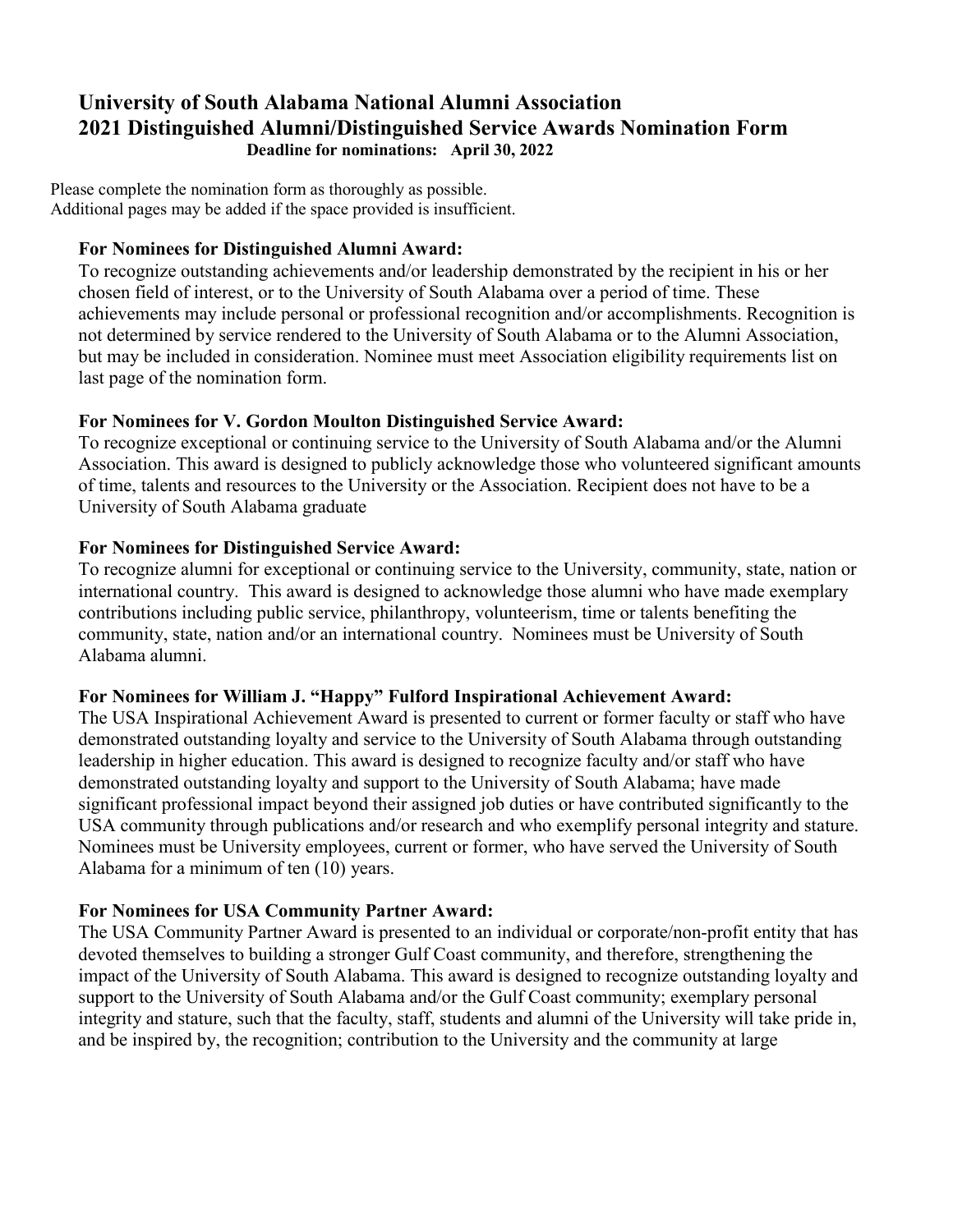## **University of South Alabama National Alumni Association 2021 Distinguished Alumni/Distinguished Service Awards Nomination Form Deadline for nominations: April 30, 2022**

Please complete the nomination form as thoroughly as possible. Additional pages may be added if the space provided is insufficient.

## **For Nominees for Distinguished Alumni Award:**

To recognize outstanding achievements and/or leadership demonstrated by the recipient in his or her chosen field of interest, or to the University of South Alabama over a period of time. These achievements may include personal or professional recognition and/or accomplishments. Recognition is not determined by service rendered to the University of South Alabama or to the Alumni Association, but may be included in consideration. Nominee must meet Association eligibility requirements list on last page of the nomination form.

## **For Nominees for V. Gordon Moulton Distinguished Service Award:**

To recognize exceptional or continuing service to the University of South Alabama and/or the Alumni Association. This award is designed to publicly acknowledge those who volunteered significant amounts of time, talents and resources to the University or the Association. Recipient does not have to be a University of South Alabama graduate

## **For Nominees for Distinguished Service Award:**

To recognize alumni for exceptional or continuing service to the University, community, state, nation or international country. This award is designed to acknowledge those alumni who have made exemplary contributions including public service, philanthropy, volunteerism, time or talents benefiting the community, state, nation and/or an international country. Nominees must be University of South Alabama alumni.

## **For Nominees for William J. "Happy" Fulford Inspirational Achievement Award:**

The USA Inspirational Achievement Award is presented to current or former faculty or staff who have demonstrated outstanding loyalty and service to the University of South Alabama through outstanding leadership in higher education. This award is designed to recognize faculty and/or staff who have demonstrated outstanding loyalty and support to the University of South Alabama; have made significant professional impact beyond their assigned job duties or have contributed significantly to the USA community through publications and/or research and who exemplify personal integrity and stature. Nominees must be University employees, current or former, who have served the University of South Alabama for a minimum of ten (10) years.

## **For Nominees for USA Community Partner Award:**

The USA Community Partner Award is presented to an individual or corporate/non-profit entity that has devoted themselves to building a stronger Gulf Coast community, and therefore, strengthening the impact of the University of South Alabama. This award is designed to recognize outstanding loyalty and support to the University of South Alabama and/or the Gulf Coast community; exemplary personal integrity and stature, such that the faculty, staff, students and alumni of the University will take pride in, and be inspired by, the recognition; contribution to the University and the community at large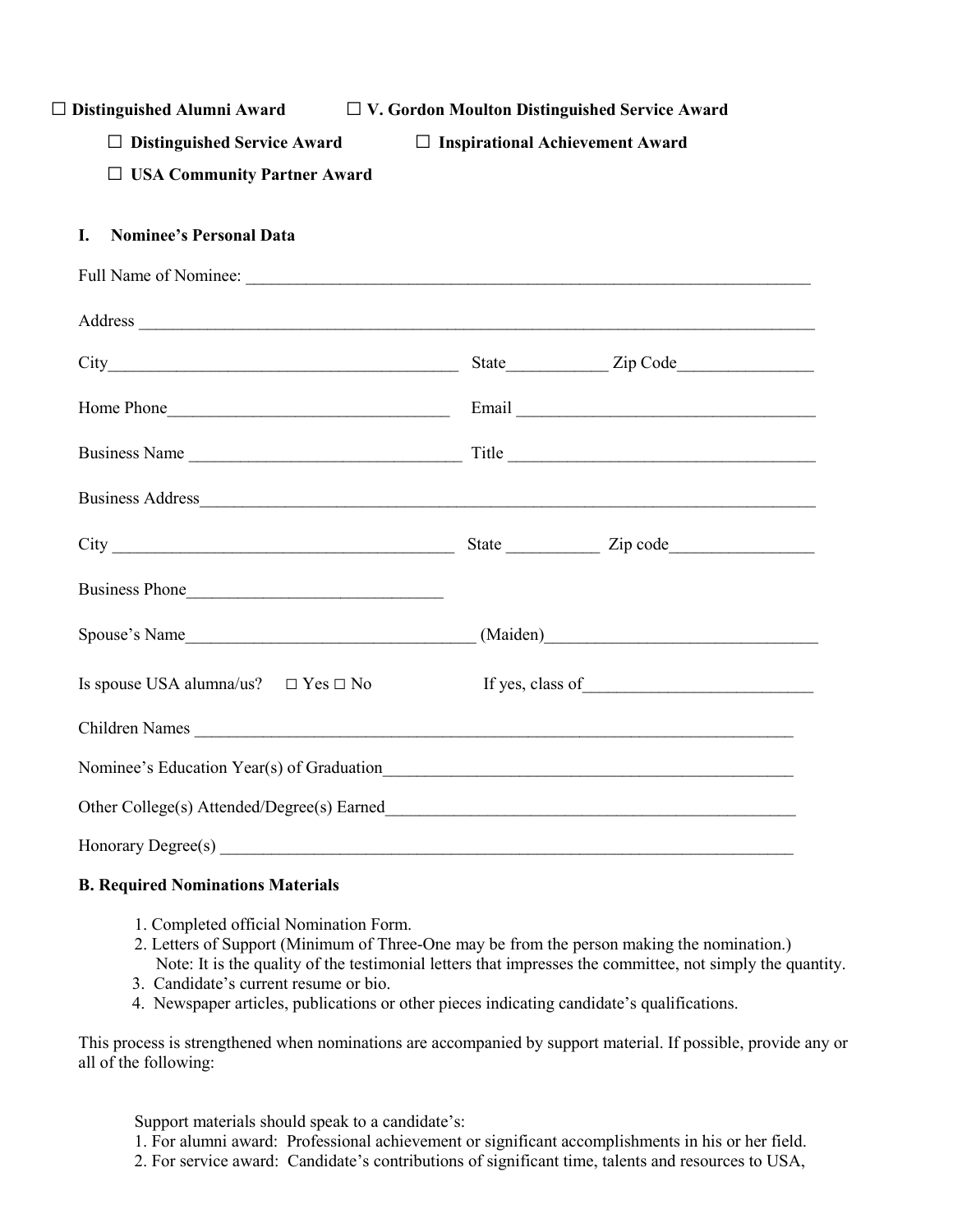| $\Box$ Distinguished Alumni Award | $\Box$ V. Gordon Moulton Distinguished Service Award |
|-----------------------------------|------------------------------------------------------|
|                                   |                                                      |

□ **Distinguished Service Award** □ **Inspirational Achievement Award**

□ **USA Community Partner Award**

### **I. Nominee's Personal Data**

| Address                                       |                  |
|-----------------------------------------------|------------------|
|                                               |                  |
|                                               |                  |
|                                               |                  |
|                                               |                  |
|                                               |                  |
| Business Phone                                |                  |
|                                               |                  |
| Is spouse USA alumna/us? $\Box$ Yes $\Box$ No | If yes, class of |
|                                               |                  |
|                                               |                  |
|                                               |                  |
|                                               |                  |

#### **B. Required Nominations Materials**

- 1. Completed official Nomination Form.
- 2. Letters of Support (Minimum of Three-One may be from the person making the nomination.) Note: It is the quality of the testimonial letters that impresses the committee, not simply the quantity.
- 3. Candidate's current resume or bio.
- 4. Newspaper articles, publications or other pieces indicating candidate's qualifications.

This process is strengthened when nominations are accompanied by support material. If possible, provide any or all of the following:

Support materials should speak to a candidate's:

1. For alumni award: Professional achievement or significant accomplishments in his or her field.

2. For service award: Candidate's contributions of significant time, talents and resources to USA,